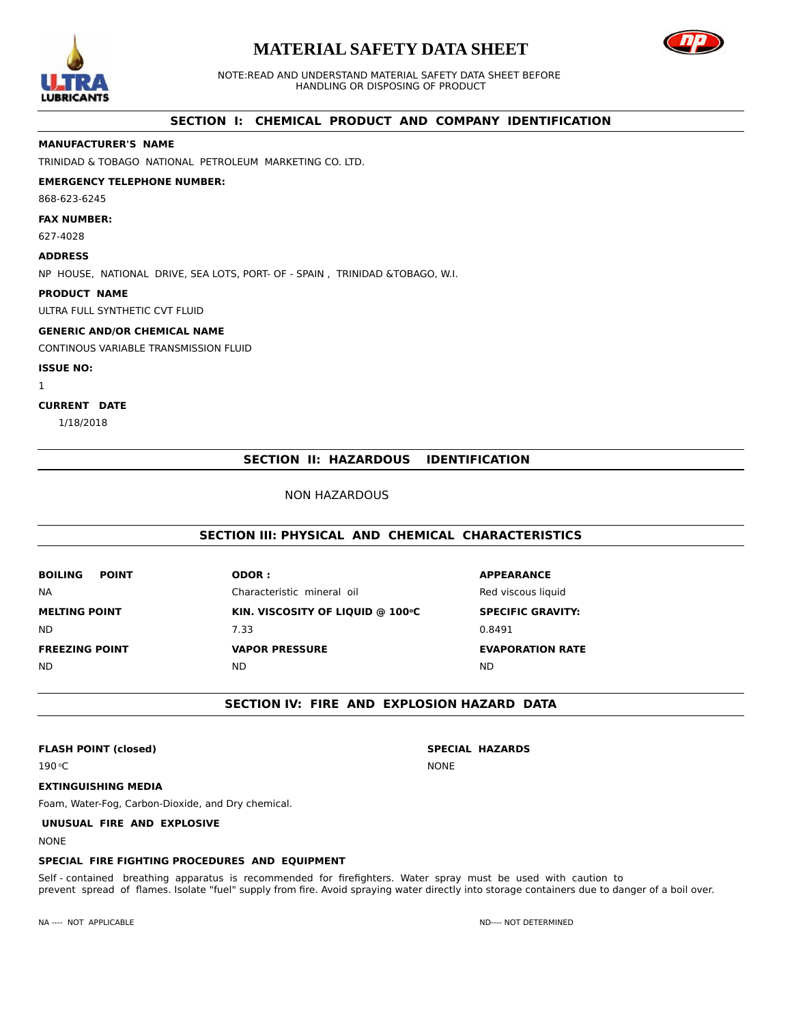

# **MATERIAL SAFETY DATA SHEET**



NOTE:READ AND UNDERSTAND MATERIAL SAFETY DATA SHEET BEFORE HANDLING OR DISPOSING OF PRODUCT

# **SECTION I: CHEMICAL PRODUCT AND COMPANY IDENTIFICATION**

# **MANUFACTURER'S NAME**

TRINIDAD & TOBAGO NATIONAL PETROLEUM MARKETING CO. LTD.

# **EMERGENCY TELEPHONE NUMBER:**

868-623-6245

## **FAX NUMBER:**

627-4028

## **ADDRESS**

NP HOUSE, NATIONAL DRIVE, SEA LOTS, PORT- OF - SPAIN , TRINIDAD &TOBAGO, W.I.

#### **PRODUCT NAME**

ULTRA FULL SYNTHETIC CVT FLUID

#### **GENERIC AND/OR CHEMICAL NAME**

CONTINOUS VARIABLE TRANSMISSION FLUID

#### **ISSUE NO:**

1

# **CURRENT DATE**

1/18/2018

# **SECTION II: HAZARDOUS IDENTIFICATION**

## NON HAZARDOUS

# **SECTION III: PHYSICAL AND CHEMICAL CHARACTERISTICS**

| <b>BOILING</b><br><b>POINT</b> | <b>ODOR:</b>                     | <b>APPEARANCE</b>        |
|--------------------------------|----------------------------------|--------------------------|
| <b>NA</b>                      | Characteristic mineral oil       | Red viscous liguid       |
| <b>MELTING POINT</b>           | KIN. VISCOSITY OF LIQUID @ 100°C | <b>SPECIFIC GRAVITY:</b> |
| <b>ND</b>                      | 7.33                             | 0.8491                   |
| <b>FREEZING POINT</b>          | <b>VAPOR PRESSURE</b>            | <b>EVAPORATION RATE</b>  |
| <b>ND</b>                      | ND.                              | ND                       |

# **SECTION IV: FIRE AND EXPLOSION HAZARD DATA**

## **FLASH POINT (closed) SPECIAL HAZARDS**

190 oC

# **EXTINGUISHING MEDIA**

Foam, Water-Fog, Carbon-Dioxide, and Dry chemical.

# **UNUSUAL FIRE AND EXPLOSIVE**

NONE

# **SPECIAL FIRE FIGHTING PROCEDURES AND EQUIPMENT**

Self - contained breathing apparatus is recommended for firefighters. Water spray must be used with caution to prevent spread of flames. Isolate "fuel" supply from fire. Avoid spraying water directly into storage containers due to danger of a boil over.

NONE

NA ---- NOT APPLICABLE NOT DETERMINED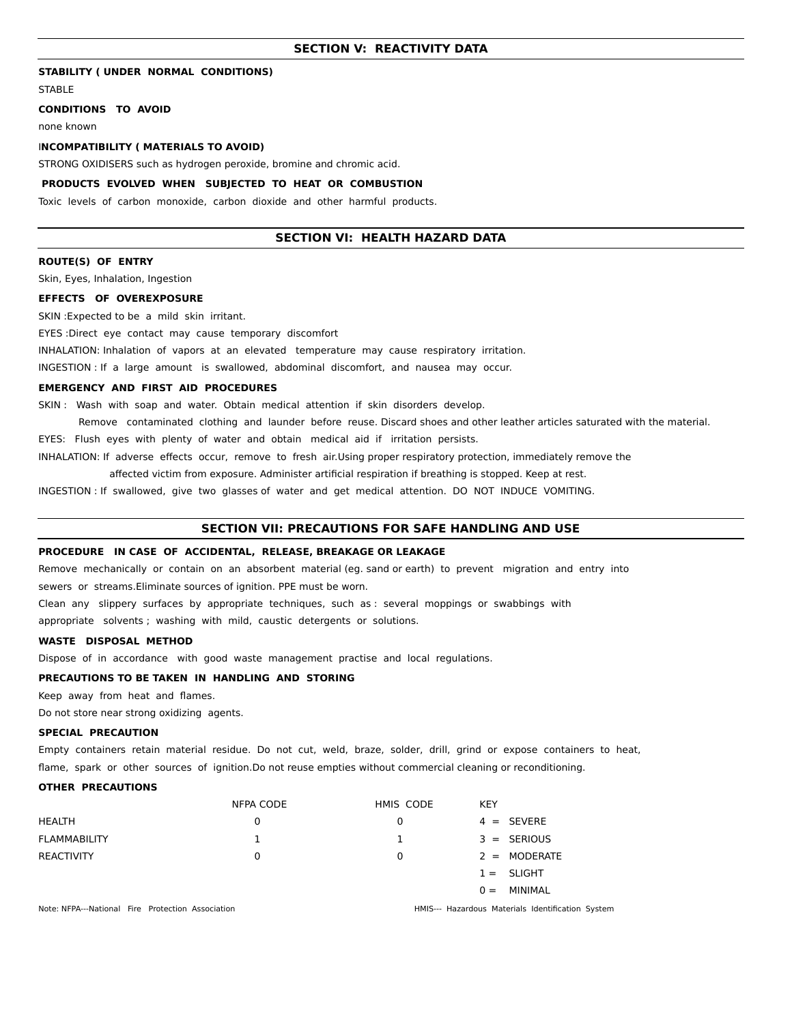### **SECTION V: REACTIVITY DATA**

## **STABILITY ( UNDER NORMAL CONDITIONS)**

**STABLE** 

## **CONDITIONS TO AVOID**

none known

#### I**NCOMPATIBILITY ( MATERIALS TO AVOID)**

STRONG OXIDISERS such as hydrogen peroxide, bromine and chromic acid.

#### **PRODUCTS EVOLVED WHEN SUBJECTED TO HEAT OR COMBUSTION**

Toxic levels of carbon monoxide, carbon dioxide and other harmful products.

## **SECTION VI: HEALTH HAZARD DATA**

#### **ROUTE(S) OF ENTRY**

Skin, Eyes, Inhalation, Ingestion

#### **EFFECTS OF OVEREXPOSURE**

SKIN :Expected to be a mild skin irritant.

EYES :Direct eye contact may cause temporary discomfort

INHALATION: Inhalation of vapors at an elevated temperature may cause respiratory irritation.

INGESTION : If a large amount is swallowed, abdominal discomfort, and nausea may occur.

#### **EMERGENCY AND FIRST AID PROCEDURES**

SKIN : Wash with soap and water. Obtain medical attention if skin disorders develop.

Remove contaminated clothing and launder before reuse. Discard shoes and other leather articles saturated with the material.

EYES: Flush eyes with plenty of water and obtain medical aid if irritation persists.

INHALATION: If adverse effects occur, remove to fresh air.Using proper respiratory protection, immediately remove the

affected victim from exposure. Administer artificial respiration if breathing is stopped. Keep at rest.

INGESTION : If swallowed, give two glasses of water and get medical attention. DO NOT INDUCE VOMITING.

#### **SECTION VII: PRECAUTIONS FOR SAFE HANDLING AND USE**

## **PROCEDURE IN CASE OF ACCIDENTAL, RELEASE, BREAKAGE OR LEAKAGE**

Remove mechanically or contain on an absorbent material (eg. sand or earth) to prevent migration and entry into sewers or streams.Eliminate sources of ignition. PPE must be worn.

Clean any slippery surfaces by appropriate techniques, such as : several moppings or swabbings with

appropriate solvents ; washing with mild, caustic detergents or solutions.

#### **WASTE DISPOSAL METHOD**

Dispose of in accordance with good waste management practise and local regulations.

#### **PRECAUTIONS TO BE TAKEN IN HANDLING AND STORING**

Keep away from heat and flames.

Do not store near strong oxidizing agents.

#### **SPECIAL PRECAUTION**

Empty containers retain material residue. Do not cut, weld, braze, solder, drill, grind or expose containers to heat, flame, spark or other sources of ignition.Do not reuse empties without commercial cleaning or reconditioning.

## **OTHER PRECAUTIONS**

|                     | <b>NFPA CODE</b> | HMIS CODE | <b>KEY</b>       |
|---------------------|------------------|-----------|------------------|
| HEALTH              | 0                | 0         | $4 = SEVERE$     |
| <b>FLAMMABILITY</b> |                  | 1         | $3 =$ SERIOUS    |
| <b>REACTIVITY</b>   | 0                | 0         | $2 = MODERATE$   |
|                     |                  |           | $1 = SLIGHT$     |
|                     |                  |           | MINIMAL<br>$0 =$ |

Note: NFPA---National Fire Protection Association HMIS--- Hazardous Materials Identification System